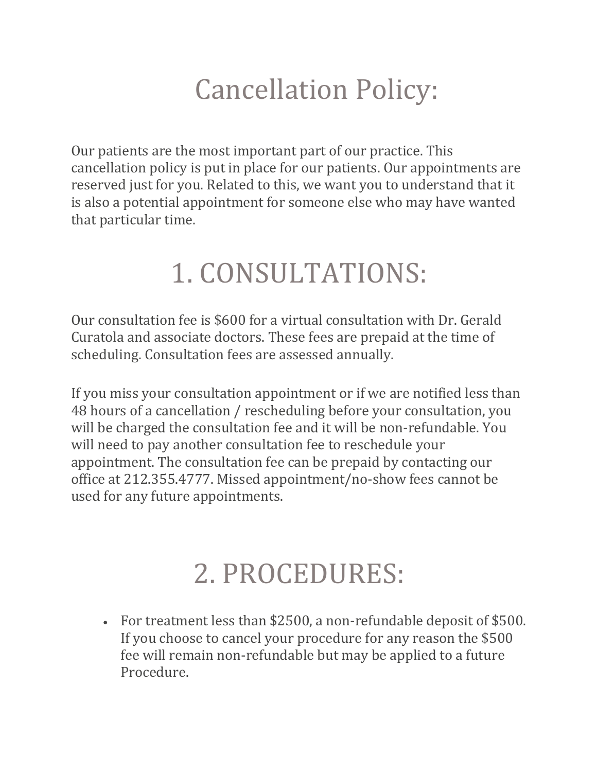## Cancellation Policy:

Our patients are the most important part of our practice. This cancellation policy is put in place for our patients. Our appointments are reserved just for you. Related to this, we want you to understand that it is also a potential appointment for someone else who may have wanted that particular time.

## 1. CONSULTATIONS:

Our consultation fee is \$600 for a virtual consultation with Dr. Gerald Curatola and associate doctors. These fees are prepaid at the time of scheduling. Consultation fees are assessed annually.

If you miss your consultation appointment or if we are notified less than 48 hours of a cancellation / rescheduling before your consultation, you will be charged the consultation fee and it will be non-refundable. You will need to pay another consultation fee to reschedule your appointment. The consultation fee can be prepaid by contacting our office at 212.355.4777. Missed appointment/no-show fees cannot be used for any future appointments.

## 2. PROCEDURES:

• For treatment less than \$2500, a non-refundable deposit of \$500. If you choose to cancel your procedure for any reason the \$500 fee will remain non-refundable but may be applied to a future Procedure.